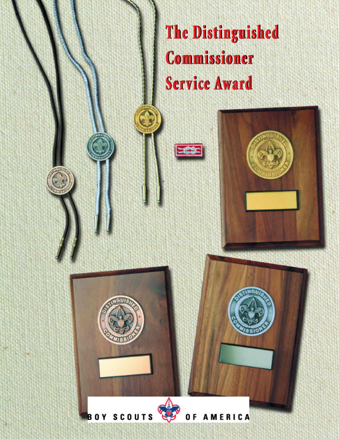**The Distinguished** Commissioner Service Award